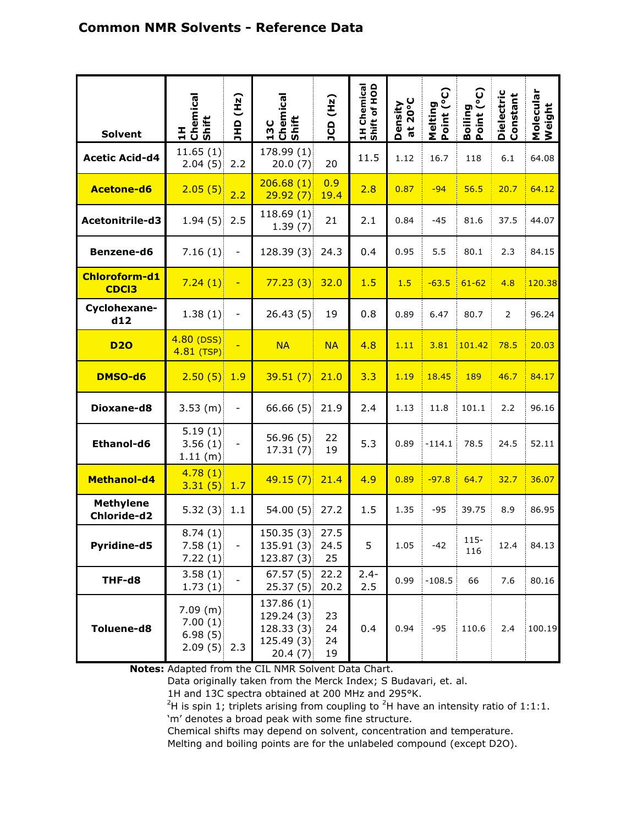| <b>Solvent</b>                  | Chemical<br>Shift<br>픘                          | (Lz)<br>$rac{1}{2}$      | 13C<br>Chemical<br>Shift                                       | JCD (Hz)             | Shift of HOD<br>1H Chemical | Density<br>at 20°C | Point (°C)<br>Melting | Boiling<br>Point (°C) | Dielectric<br>Constant | Molecular<br>Weight |
|---------------------------------|-------------------------------------------------|--------------------------|----------------------------------------------------------------|----------------------|-----------------------------|--------------------|-----------------------|-----------------------|------------------------|---------------------|
| <b>Acetic Acid-d4</b>           | 11.65(1)<br>2.04(5)                             | 2.2                      | 178.99 (1)<br>20.0(7)                                          | 20                   | 11.5                        | 1.12               | 16.7                  | 118                   | 6.1                    | 64.08               |
| <b>Acetone-d6</b>               | 2.05(5)                                         | 2.2                      | 206.68(1)<br>29.92(7)                                          | 0.9<br>19.4          | 2.8                         | 0.87               | $-94$                 | 56.5                  | 20.7                   | 64.12               |
| Acetonitrile-d3                 | $1.94(5)$ 2.5                                   |                          | 118.69(1)<br>1.39(7)                                           | 21                   | 2.1                         | 0.84               | -45                   | 81.6                  | 37.5                   | 44.07               |
| <b>Benzene-d6</b>               | 7.16(1)                                         | $\overline{\phantom{a}}$ | 128.39(3)                                                      | 24.3                 | 0.4                         | 0.95               | 5.5                   | 80.1                  | 2.3                    | 84.15               |
| Chloroform-d1<br><b>CDCI3</b>   | 7.24(1)                                         | $\sim$ $-$               | 77.23(3)32.0                                                   |                      | 1.5                         | 1.5                | $-63.5$               | $61 - 62$             | 4.8                    | 120.38              |
| Cyclohexane-<br>d12             | 1.38(1)                                         | $\overline{\phantom{a}}$ | 26.43(5)                                                       | 19                   | 0.8                         | 0.89               | 6.47                  | 80.7                  | $\overline{2}$         | 96.24               |
| <b>D20</b>                      | $4.80$ (DSS)<br>$4.81$ (TSP)                    |                          | <b>NA</b>                                                      | <b>NA</b>            | 4.8                         | 1.11               | 3.81                  | 101.42                | 78.5                   | 20.03               |
| DMSO-d6                         | 2.50(5)1.9                                      |                          | 39.51(7)                                                       | 21.0                 | 3.3                         | 1.19               | 18.45                 | 189                   | 46.7                   | 84.17               |
| Dioxane-d8                      | $3.53$ (m)                                      | $\overline{\phantom{0}}$ | 66.66(5)                                                       | 21.9                 | 2.4                         | 1.13               | 11.8                  | 101.1                 | 2.2                    | 96.16               |
| Ethanol-d6                      | 5.19(1)<br>3.56(1)<br>1.11(m)                   | $\overline{\phantom{a}}$ | 56.96(5)<br>17.31(7)                                           | 22<br>19             | 5.3                         | 0.89               | $-114.1$              | 78.5                  | 24.5                   | 52.11               |
| <b>Methanol-d4</b>              | 4.78(1)<br>$3.31(5)$ 1.7                        |                          | $49.15(7)$ 21.4                                                |                      | 4.9                         | 0.89               | $-97.8$               | 64.7                  | 32.7                   | 36.07               |
| <b>Methylene</b><br>Chloride-d2 | 5.32(3)                                         | 1.1                      | 54.00(5)                                                       | 27.2                 | 1.5                         | 1.35               | $-95$                 | 39.75                 | 8.9                    | 86.95               |
| Pyridine-d5                     | 8.74(1)<br>7.58(1)<br>7.22(1)                   | $\qquad \qquad -$        | 150.35(3)<br>135.91 (3) 24.5<br>123.87(3)                      | 27.5<br>25           | 5                           | 1.05               | $-42$                 | $115 -$<br>116        | 12.4                   | 84.13<br>÷          |
| THF-d8                          | 3.58(1)<br>1.73(1)                              |                          | 67.57(5)<br>25.37(5)                                           | 22.2<br>20.2         | $2.4 -$<br>2.5              | 0.99               | $-108.5$              | 66                    | 7.6                    | 80.16               |
| Toluene-d8                      | 7.09 (m)<br>7.00(1)<br>6.98(5)<br>$2.09(5)$ 2.3 |                          | 137.86 (1)<br>129.24 (3)<br>128.33(3)<br>125.49 (3)<br>20.4(7) | 23<br>24<br>24<br>19 | 0.4                         | 0.94               | $-95$                 | 110.6                 | 2.4                    | 100.19              |

**Notes:** Adapted from the CIL NMR Solvent Data Chart.

Data originally taken from the Merck Index; S Budavari, et. al.

1H and 13C spectra obtained at 200 MHz and 295°K.

<sup>2</sup>H is spin 1; triplets arising from coupling to <sup>2</sup>H have an intensity ratio of 1:1:1. 'm' denotes a broad peak with some fine structure.

Chemical shifts may depend on solvent, concentration and temperature.

Melting and boiling points are for the unlabeled compound (except D2O).